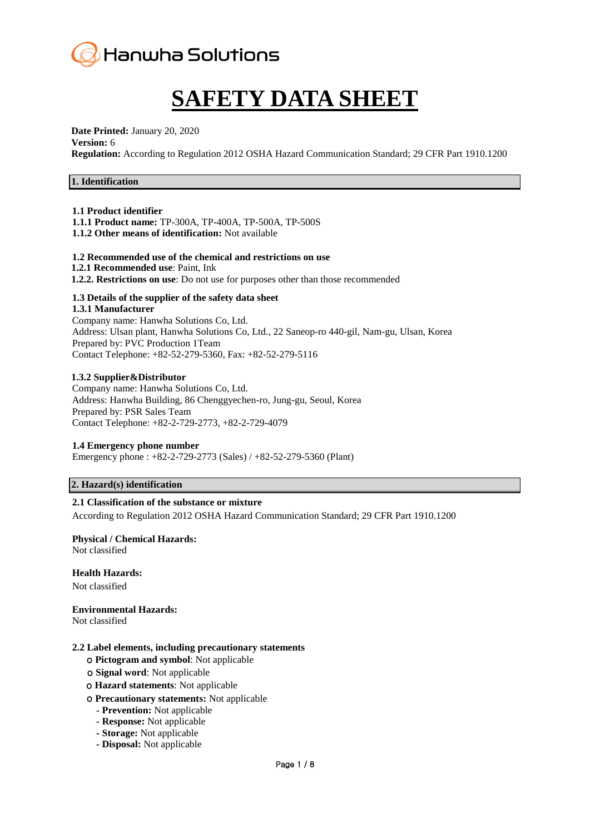

# **SAFETY DATA SHEET**

**Date Printed:** January 20, 2020

#### **Version:** 6

**Regulation:** According to Regulation 2012 OSHA Hazard Communication Standard; 29 CFR Part 1910.1200

# **1. Identification**

#### **1.1 Product identifier**

**1.1.1 Product name:** TP-300A, TP-400A, TP-500A, TP-500S

**1.1.2 Other means of identification:** Not available

#### **1.2 Recommended use of the chemical and restrictions on use**

- **1.2.1 Recommended use**: Paint, Ink
- **1.2.2. Restrictions on use**: Do not use for purposes other than those recommended

# **1.3 Details of the supplier of the safety data sheet**

**1.3.1 Manufacturer** Company name: Hanwha Solutions Co, Ltd. Address: Ulsan plant, Hanwha Solutions Co, Ltd., 22 Saneop-ro 440-gil, Nam-gu, Ulsan, Korea Prepared by: PVC Production 1Team Contact Telephone: +82-52-279-5360, Fax: +82-52-279-5116

#### **1.3.2 Supplier&Distributor**

Company name: Hanwha Solutions Co, Ltd. Address: Hanwha Building, 86 Chenggyechen-ro, Jung-gu, Seoul, Korea Prepared by: PSR Sales Team Contact Telephone: +82-2-729-2773, +82-2-729-4079

# **1.4 Emergency phone number**

Emergency phone : +82-2-729-2773 (Sales) / +82-52-279-5360 (Plant)

# **2. Hazard(s) identification**

# **2.1 Classification of the substance or mixture**

According to Regulation 2012 OSHA Hazard Communication Standard; 29 CFR Part 1910.1200

# **Physical / Chemical Hazards:**

Not classified

# **Health Hazards:**

Not classified

# **Environmental Hazards:**

Not classified

#### **2.2 Label elements, including precautionary statements**

- ο **Pictogram and symbol**: Not applicable
- ο **Signal word**: Not applicable
- ο **Hazard statements**: Not applicable
- ο **Precautionary statements:** Not applicable
	- **- Prevention:** Not applicable
	- **- Response:** Not applicable
	- **- Storage:** Not applicable
	- **- Disposal:** Not applicable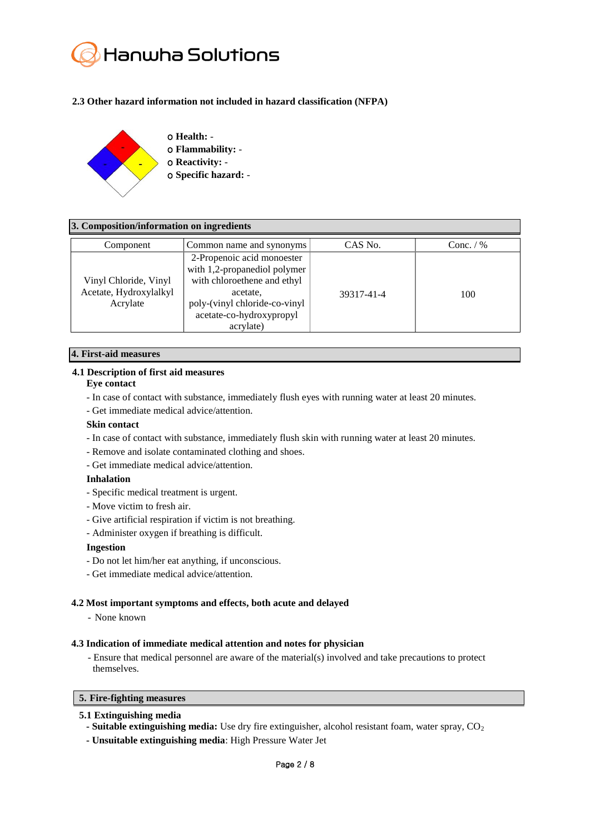# Hanwha Solutions

# **2.3 Other hazard information not included in hazard classification (NFPA)**



# **3. Composition/information on ingredients**

| Component                                                   | Common name and synonyms                                                                                                                                                        | CAS No.    | Conc. $/$ % |
|-------------------------------------------------------------|---------------------------------------------------------------------------------------------------------------------------------------------------------------------------------|------------|-------------|
| Vinyl Chloride, Vinyl<br>Acetate, Hydroxylalkyl<br>Acrylate | 2-Propenoic acid monoester<br>with 1,2-propanediol polymer<br>with chloroethene and ethyl<br>acetate,<br>poly-(vinyl chloride-co-vinyl<br>acetate-co-hydroxypropyl<br>acrylate) | 39317-41-4 | 100         |

# **4. First-aid measures**

# **4.1 Description of first aid measures**

# **Eye contact**

- In case of contact with substance, immediately flush eyes with running water at least 20 minutes.
- Get immediate medical advice/attention.

# **Skin contact**

- In case of contact with substance, immediately flush skin with running water at least 20 minutes.
- Remove and isolate contaminated clothing and shoes.
- Get immediate medical advice/attention.

# **Inhalation**

- Specific medical treatment is urgent.
- Move victim to fresh air.
- Give artificial respiration if victim is not breathing.
- Administer oxygen if breathing is difficult.

# **Ingestion**

- Do not let him/her eat anything, if unconscious.
- Get immediate medical advice/attention.

# **4.2 Most important symptoms and effects, both acute and delayed**

# - None known

# **4.3 Indication of immediate medical attention and notes for physician**

- Ensure that medical personnel are aware of the material(s) involved and take precautions to protect themselves.

# **5. Fire-fighting measures**

# **5.1 Extinguishing media**

- **- Suitable extinguishing media:** Use dry fire extinguisher, alcohol resistant foam, water spray, CO<sub>2</sub>
- **- Unsuitable extinguishing media**: High Pressure Water Jet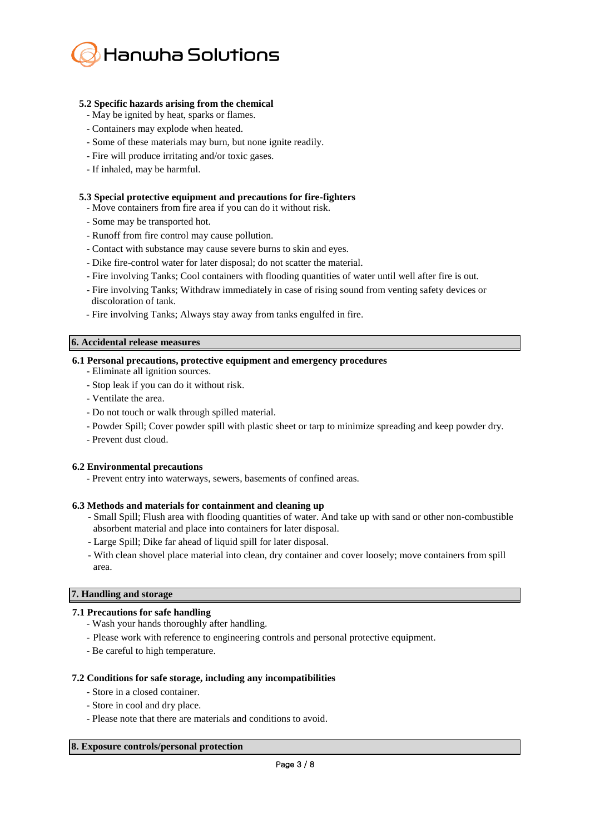

# **5.2 Specific hazards arising from the chemical**

- May be ignited by heat, sparks or flames.
- Containers may explode when heated.
- Some of these materials may burn, but none ignite readily.
- Fire will produce irritating and/or toxic gases.
- If inhaled, may be harmful.

# **5.3 Special protective equipment and precautions for fire-fighters**

- Move containers from fire area if you can do it without risk.
- Some may be transported hot.
- Runoff from fire control may cause pollution.
- Contact with substance may cause severe burns to skin and eyes.
- Dike fire-control water for later disposal; do not scatter the material.
- Fire involving Tanks; Cool containers with flooding quantities of water until well after fire is out.
- Fire involving Tanks; Withdraw immediately in case of rising sound from venting safety devices or discoloration of tank.
- Fire involving Tanks; Always stay away from tanks engulfed in fire.

# **6. Accidental release measures**

# **6.1 Personal precautions, protective equipment and emergency procedures**

- Eliminate all ignition sources.
- Stop leak if you can do it without risk.
- Ventilate the area.
- Do not touch or walk through spilled material.
- Powder Spill; Cover powder spill with plastic sheet or tarp to minimize spreading and keep powder dry.
- Prevent dust cloud.

# **6.2 Environmental precautions**

- Prevent entry into waterways, sewers, basements of confined areas.

# **6.3 Methods and materials for containment and cleaning up**

- Small Spill; Flush area with flooding quantities of water. And take up with sand or other non-combustible absorbent material and place into containers for later disposal.
- Large Spill; Dike far ahead of liquid spill for later disposal.
- With clean shovel place material into clean, dry container and cover loosely; move containers from spill area.

# **7. Handling and storage**

# **7.1 Precautions for safe handling**

- Wash your hands thoroughly after handling.
- Please work with reference to engineering controls and personal protective equipment.
- Be careful to high temperature.

# **7.2 Conditions for safe storage, including any incompatibilities**

- Store in a closed container.
- Store in cool and dry place.
- Please note that there are materials and conditions to avoid.

# **8. Exposure controls/personal protection**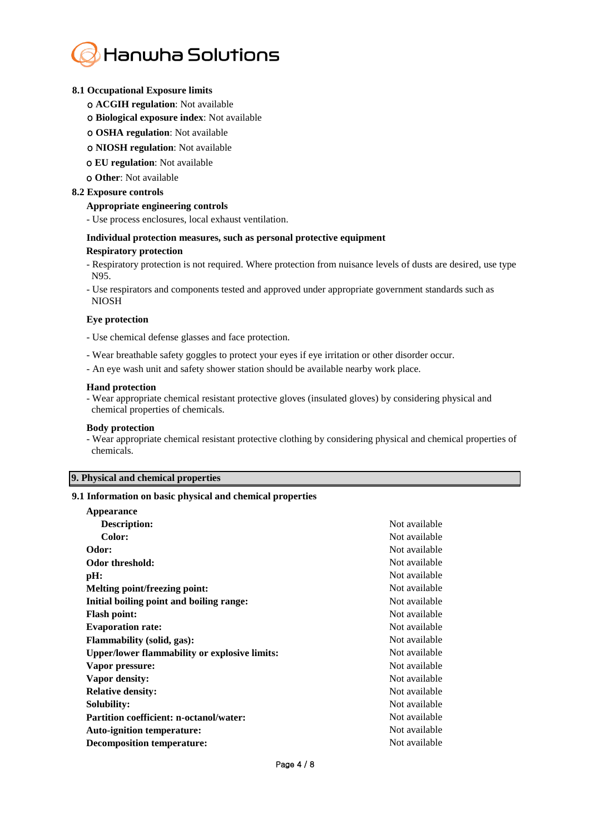

#### **8.1 Occupational Exposure limits**

- ο **ACGIH regulation**: Not available
- ο **Biological exposure index**: Not available
- ο **OSHA regulation**: Not available
- ο **NIOSH regulation**: Not available
- ο **EU regulation**: Not available
- ο **Other**: Not available

#### **8.2 Exposure controls**

#### **Appropriate engineering controls**

- Use process enclosures, local exhaust ventilation.

#### **Individual protection measures, such as personal protective equipment**

#### **Respiratory protection**

- Respiratory protection is not required. Where protection from nuisance levels of dusts are desired, use type N95.

- Use respirators and components tested and approved under appropriate government standards such as NIOSH

#### **Eye protection**

- Use chemical defense glasses and face protection.

- Wear breathable safety goggles to protect your eyes if eye irritation or other disorder occur.
- An eye wash unit and safety shower station should be available nearby work place.

#### **Hand protection**

- Wear appropriate chemical resistant protective gloves (insulated gloves) by considering physical and chemical properties of chemicals.

#### **Body protection**

- Wear appropriate chemical resistant protective clothing by considering physical and chemical properties of chemicals.

# **9. Physical and chemical properties**

#### **9.1 Information on basic physical and chemical properties**

| <b>Appearance</b>                                    |               |
|------------------------------------------------------|---------------|
| Description:                                         | Not available |
| Color:                                               | Not available |
| Odor:                                                | Not available |
| Odor threshold:                                      | Not available |
| pH:                                                  | Not available |
| <b>Melting point/freezing point:</b>                 | Not available |
| Initial boiling point and boiling range:             | Not available |
| <b>Flash point:</b>                                  | Not available |
| <b>Evaporation rate:</b>                             | Not available |
| <b>Flammability (solid, gas):</b>                    | Not available |
| <b>Upper/lower flammability or explosive limits:</b> | Not available |
| Vapor pressure:                                      | Not available |
| Vapor density:                                       | Not available |
| <b>Relative density:</b>                             | Not available |
| Solubility:                                          | Not available |
| <b>Partition coefficient: n-octanol/water:</b>       | Not available |
| <b>Auto-ignition temperature:</b>                    | Not available |
| <b>Decomposition temperature:</b>                    | Not available |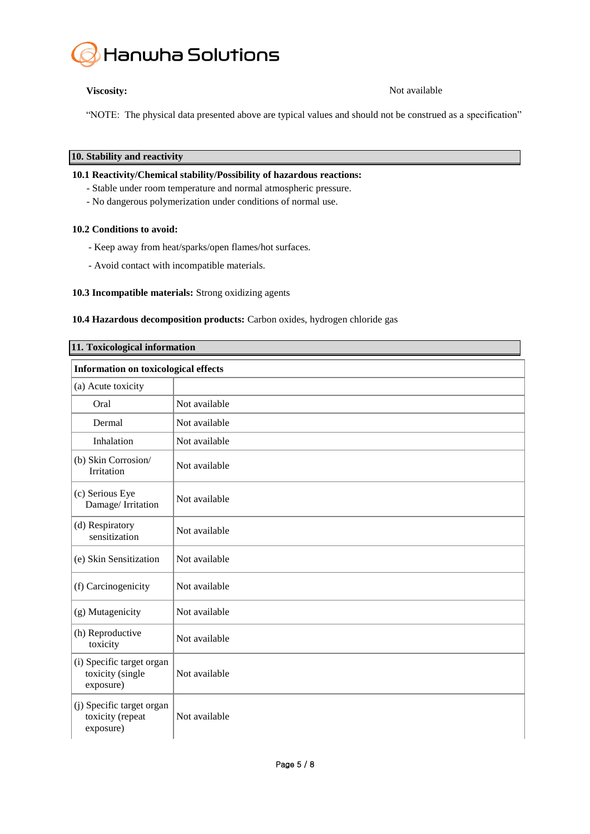

**Viscosity:** Not available

"NOTE: The physical data presented above are typical values and should not be construed as a specification"

**10. Stability and reactivity**

# **10.1 Reactivity/Chemical stability/Possibility of hazardous reactions:**

- Stable under room temperature and normal atmospheric pressure.
- No dangerous polymerization under conditions of normal use.

# **10.2 Conditions to avoid:**

- Keep away from heat/sparks/open flames/hot surfaces.
- Avoid contact with incompatible materials.

# **10.3 Incompatible materials:** Strong oxidizing agents

# **10.4 Hazardous decomposition products:** Carbon oxides, hydrogen chloride gas

| 11. Toxicological information                              |               |  |
|------------------------------------------------------------|---------------|--|
| <b>Information on toxicological effects</b>                |               |  |
| (a) Acute toxicity                                         |               |  |
| Oral                                                       | Not available |  |
| Dermal                                                     | Not available |  |
| Inhalation                                                 | Not available |  |
| (b) Skin Corrosion/<br>Irritation                          | Not available |  |
| (c) Serious Eye<br>Damage/Irritation                       | Not available |  |
| (d) Respiratory<br>sensitization                           | Not available |  |
| (e) Skin Sensitization                                     | Not available |  |
| (f) Carcinogenicity                                        | Not available |  |
| (g) Mutagenicity                                           | Not available |  |
| (h) Reproductive<br>toxicity                               | Not available |  |
| (i) Specific target organ<br>toxicity (single<br>exposure) | Not available |  |
| (j) Specific target organ<br>toxicity (repeat<br>exposure) | Not available |  |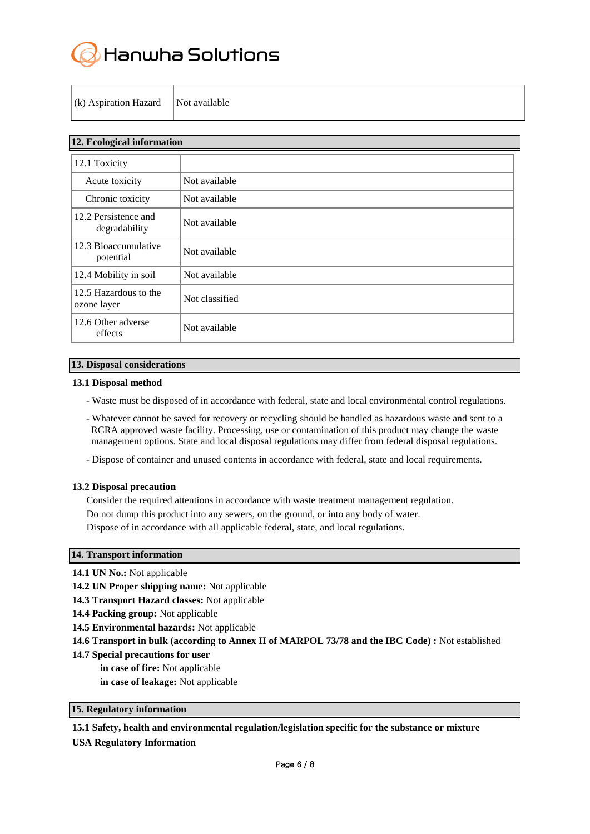

|  |  | (k) Aspiration Hazard | Not available |
|--|--|-----------------------|---------------|
|--|--|-----------------------|---------------|

| 12. Ecological information            |                |  |
|---------------------------------------|----------------|--|
| 12.1 Toxicity                         |                |  |
| Acute toxicity                        | Not available  |  |
| Chronic toxicity                      | Not available  |  |
| 12.2 Persistence and<br>degradability | Not available  |  |
| 12.3 Bioaccumulative<br>potential     | Not available  |  |
| 12.4 Mobility in soil                 | Not available  |  |
| 12.5 Hazardous to the<br>ozone layer  | Not classified |  |
| 12.6 Other adverse<br>effects         | Not available  |  |

# **13. Disposal considerations**

#### **13.1 Disposal method**

- Waste must be disposed of in accordance with federal, state and local environmental control regulations.
- Whatever cannot be saved for recovery or recycling should be handled as hazardous waste and sent to a RCRA approved waste facility. Processing, use or contamination of this product may change the waste management options. State and local disposal regulations may differ from federal disposal regulations.
- Dispose of container and unused contents in accordance with federal, state and local requirements.

#### **13.2 Disposal precaution**

Consider the required attentions in accordance with waste treatment management regulation. Do not dump this product into any sewers, on the ground, or into any body of water. Dispose of in accordance with all applicable federal, state, and local regulations.

# **14. Transport information**

- **14.1 UN No.:** Not applicable
- **14.2 UN Proper shipping name:** Not applicable
- **14.3 Transport Hazard classes:** Not applicable
- **14.4 Packing group:** Not applicable
- **14.5 Environmental hazards:** Not applicable
- **14.6 Transport in bulk (according to Annex II of MARPOL 73/78 and the IBC Code) :** Not established
- **14.7 Special precautions for user**
	- **in case of fire:** Not applicable
	- **in case of leakage:** Not applicable

# **15. Regulatory information**

# **15.1 Safety, health and environmental regulation/legislation specific for the substance or mixture**

**USA Regulatory Information**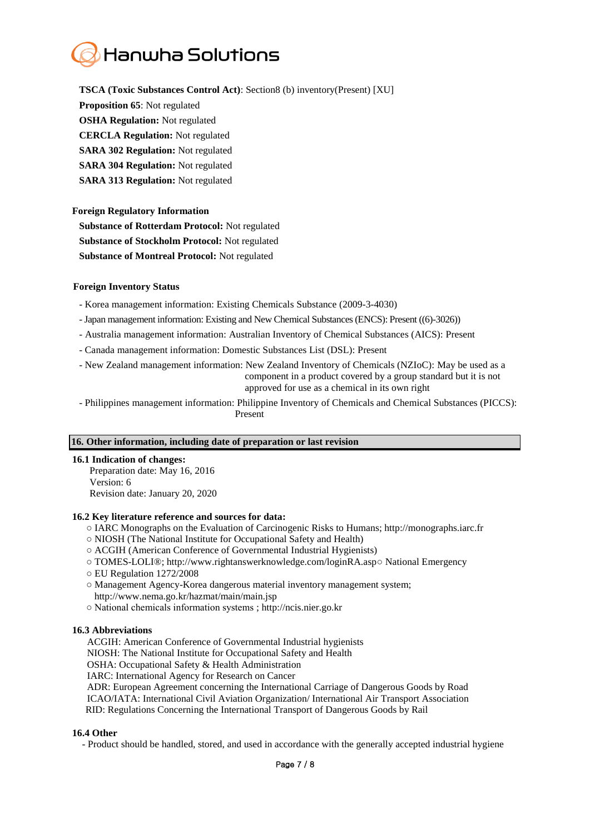# Hanwha Solutions

**TSCA (Toxic Substances Control Act)**: Section8 (b) inventory(Present) [XU] **Proposition 65**: Not regulated **OSHA Regulation:** Not regulated **CERCLA Regulation:** Not regulated **SARA 302 Regulation:** Not regulated **SARA 304 Regulation:** Not regulated **SARA 313 Regulation:** Not regulated

# **Foreign Regulatory Information**

**Substance of Rotterdam Protocol:** Not regulated **Substance of Stockholm Protocol:** Not regulated **Substance of Montreal Protocol:** Not regulated

# **Foreign Inventory Status**

- Korea management information: Existing Chemicals Substance (2009-3-4030)

- -Japan management information: Existing and New Chemical Substances (ENCS): Present ((6)-3026))
- Australia management information: Australian Inventory of Chemical Substances (AICS): Present
- Canada management information: Domestic Substances List (DSL): Present

- New Zealand management information: New Zealand Inventory of Chemicals (NZIoC): May be used as a component in a product covered by a group standard but it is not approved for use as a chemical in its own right

- Philippines management information: Philippine Inventory of Chemicals and Chemical Substances (PICCS): Present

# **16. Other information, including date of preparation or last revision**

# **16.1 Indication of changes:**

 Preparation date: May 16, 2016 Version: 6 Revision date: January 20, 2020

# **16.2 Key literature reference and sources for data:**

- IARC Monographs on the Evaluation of Carcinogenic Risks to Humans; http://monographs.iarc.fr
- NIOSH (The National Institute for Occupational Safety and Health)
- ACGIH (American Conference of Governmental Industrial Hygienists)
- TOMES-LOLI® ; http://www.rightanswerknowledge.com/loginRA.asp○ National Emergency
- EU Regulation 1272/2008
- Management Agency-Korea dangerous material inventory management system;
- http://www.nema.go.kr/hazmat/main/main.jsp
- National chemicals information systems ; [http://ncis.nier.go.kr](http://ncis.nier.go.kr/)

# **16.3 Abbreviations**

ACGIH: American Conference of Governmental Industrial hygienists

NIOSH: The National Institute for Occupational Safety and Health

OSHA: Occupational Safety & Health Administration

IARC: International Agency for Research on Cancer

ADR: European Agreement concerning the International Carriage of Dangerous Goods by Road

ICAO/IATA: International Civil Aviation Organization/ International Air Transport Association

RID: Regulations Concerning the International Transport of Dangerous Goods by Rail

# **16.4 Other**

- Product should be handled, stored, and used in accordance with the generally accepted industrial hygiene